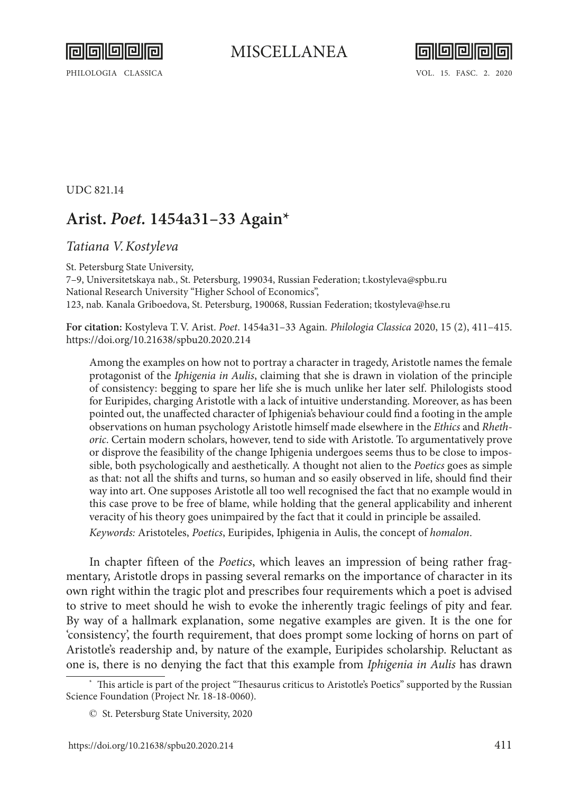



PHILOLOGIA CLASSICA VOL. 15. FASC. 2. 2020

UDC 821.14

## **Arist.** *Poet.* **1454a31–33 Again\***

## *Tatiana V.Kostyleva*

St. Petersburg State University, 7–9, Universitetskaya nab., St. Petersburg, 199034, Russian Federation; [t.kostyleva@spbu.ru](mailto:t.kostyleva%40spbu.ru?subject=) National Research University "Higher School of Economics", 123, nab. Kanala Griboedova, St. Petersburg, 190068, Russian Federation; [tkostyleva@hse.ru](mailto:tkostyleva%40hse.ru?subject=)

**For citation:** Kostyleva T.V. Arist. *Poet*. 1454a31–33 Again*. Philologia Classica* 2020, 15 (2), 411–415. <https://doi.org/10.21638/spbu20.2020.214>

Among the examples on how not to portray a character in tragedy, Aristotle names the female protagonist of the *Iphigenia in Aulis*, claiming that she is drawn in violation of the principle of consistency: begging to spare her life she is much unlike her later self. Philologists stood for Euripides, charging Aristotle with a lack of intuitive understanding. Moreover, as has been pointed out, the unaffected character of Iphigenia's behaviour could find a footing in the ample observations on human psychology Aristotle himself made elsewhere in the *Ethics* and *Rhethoric*. Certain modern scholars, however, tend to side with Aristotle. To argumentatively prove or disprove the feasibility of the change Iphigenia undergoes seems thus to be close to impossible, both psychologically and aesthetically. A thought not alien to the *Poetics* goes as simple as that: not all the shifts and turns, so human and so easily observed in life, should find their way into art. One supposes Aristotle all too well recognised the fact that no example would in this case prove to be free of blame, while holding that the general applicability and inherent veracity of his theory goes unimpaired by the fact that it could in principle be assailed. *Keywords:* Aristoteles, *Poetics*, Euripides, Iphigenia in Aulis, the concept of *homalon*.

In chapter fifteen of the *Poetics*, which leaves an impression of being rather fragmentary, Aristotle drops in passing several remarks on the importance of character in its own right within the tragic plot and prescribes four requirements which a poet is advised to strive to meet should he wish to evoke the inherently tragic feelings of pity and fear. By way of a hallmark explanation, some negative examples are given. It is the one for 'consistency', the fourth requirement, that does prompt some locking of horns on part of Aristotle's readership and, by nature of the example, Euripides scholarship. Reluctant as one is, there is no denying the fact that this example from *Iphigenia in Aulis* has drawn

This article is part of the project "Thesaurus criticus to Aristotle's Poetics" supported by the Russian Science Foundation (Project Nr. 18-18-0060).

<sup>©</sup> St. Petersburg State University, 2020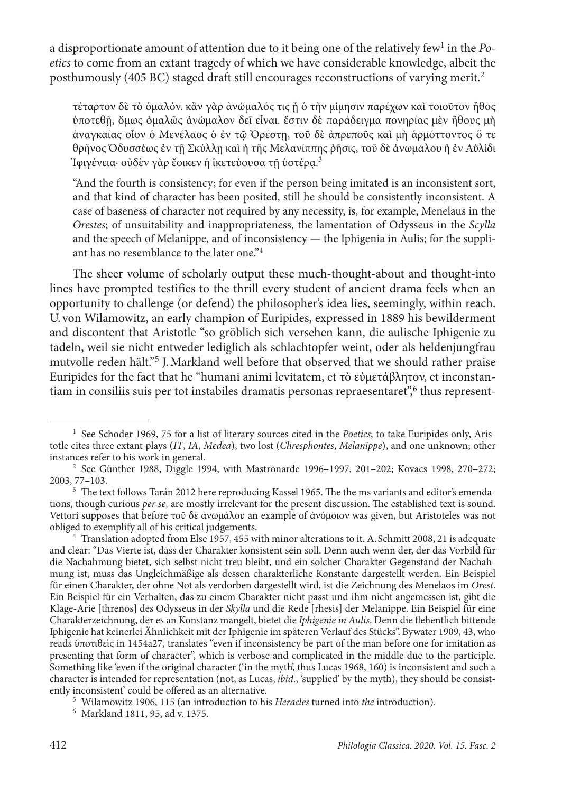a disproportionate amount of attention due to it being one of the relatively few<sup>1</sup> in the Po*etics* to come from an extant tragedy of which we have considerable knowledge, albeit the posthumously (405 BC) staged draft still encourages reconstructions of varying merit.2

τέταρτον δὲ τὸ ὁμαλόν. κἂν γὰρ ἀνώμαλός τις ᾖ ὁ τὴν μίμησιν παρέχων καὶ τοιοῦτον ἦθος ὑποτεθῇ, ὅμως ὁμαλῶς ἀνώμαλον δεῖ εἶναι. ἔστιν δὲ παράδειγμα πονηρίας μὲν ἤθους μὴ ἀναγκαίας οἷον ὁ Μενέλαος ὁ ἐν τῷ Ὀρέστῃ, τοῦ δὲ ἀπρεποῦς καὶ μὴ ἁρμόττοντος ὅ τε θρῆνος Ὀδυσσέως ἐν τῇ Σκύλλῃ καὶ ἡ τῆς Μελανίππης ῥῆσις, τοῦ δὲ ἀνωμάλου ἡ ἐν Αὐλίδι Ίφιγένεια· οὐδὲν γὰρ ἔοικεν ἡ ἱκετεύουσα τῇ ὑστέρα.<sup>3</sup>

"And the fourth is consistency; for even if the person being imitated is an inconsistent sort, and that kind of character has been posited, still he should be consistently inconsistent. A case of baseness of character not required by any necessity, is, for example, Menelaus in the *Orestes*; of unsuitability and inappropriateness, the lamentation of Odysseus in the *Scylla* and the speech of Melanippe, and of inconsistency — the Iphigenia in Aulis; for the suppliant has no resemblance to the later one."4

The sheer volume of scholarly output these much-thought-about and thought-into lines have prompted testifies to the thrill every student of ancient drama feels when an opportunity to challenge (or defend) the philosopher's idea lies, seemingly, within reach. U. von Wilamowitz, an early champion of Euripides, expressed in 1889 his bewilderment and discontent that Aristotle "so gröblich sich versehen kann, die aulische Iphigenie zu tadeln, weil sie nicht entweder lediglich als schlachtopfer weint, oder als heldenjungfrau mutvolle reden hält."5 J.Markland well before that observed that we should rather praise Euripides for the fact that he "humani animi levitatem, et τὸ εὐμετάβλητον, et inconstantiam in consiliis suis per tot instabiles dramatis personas repraesentaret", thus represent-

<sup>1</sup> See Schoder 1969, 75 for a list of literary sources cited in the *Poetics*; to take Euripides only, Aristotle cites three extant plays (*IT*, *IA*, *Medea*), two lost (*Chresphontes*, *Melanippe*), and one unknown; other instances refer to his work in general.

<sup>2</sup> See Günther 1988, Diggle 1994, with Mastronarde 1996–1997, 201–202; Kovacs 1998, 270–272; 2003, 77–103.

<sup>&</sup>lt;sup>3</sup> The text follows Tarán 2012 here reproducing Kassel 1965. The the ms variants and editor's emendations, though curious *per se,* are mostly irrelevant for the present discussion. The established text is sound. Vettori supposes that before τοῦ δὲ ἀνωμάλου an example of ἀνόμοιον was given, but Aristoteles was not obliged to exemplify all of his critical judgements.

<sup>4</sup> Translation adopted from Else 1957, 455 with minor alterations to it. A. Schmitt 2008, 21 is adequate and clear: "Das Vierte ist, dass der Charakter konsistent sein soll. Denn auch wenn der, der das Vorbild für die Nachahmung bietet, sich selbst nicht treu bleibt, und ein solcher Charakter Gegenstand der Nachahmung ist, muss das Ungleichmäßige als dessen charakterliche Konstante dargestellt werden. Ein Beispiel für einen Charakter, der ohne Not als verdorben dargestellt wird, ist die Zeichnung des Menelaos im *Orest*. Ein Beispiel für ein Verhalten, das zu einem Charakter nicht passt und ihm nicht angemessen ist, gibt die Klage-Arie [threnos] des Odysseus in der *Skylla* und die Rede [rhesis] der Melanippe. Ein Beispiel für eine Charakterzeichnung, der es an Konstanz mangelt, bietet die *Iphigenie in Aulis*. Denn die flehentlich bittende Iphigenie hat keinerlei Ähnlichkeit mit der Iphigenie im späteren Verlauf des Stücks". Bywater 1909, 43, who reads ὑποτιθεὶς in 1454a27, translates "even if inconsistency be part of the man before one for imitation as presenting that form of character", which is verbose and complicated in the middle due to the participle. Something like 'even if the original character ('in the myth', thus Lucas 1968, 160) is inconsistent and such a character is intended for representation (not, as Lucas, *ibid.*, 'supplied' by the myth), they should be consistently inconsistent' could be offered as an alternative.

<sup>&</sup>lt;sup>5</sup> Wilamowitz 1906, 115 (an introduction to his *Heracles* turned into *the* introduction). <sup>6</sup> Markland 1811, 95, ad v. 1375.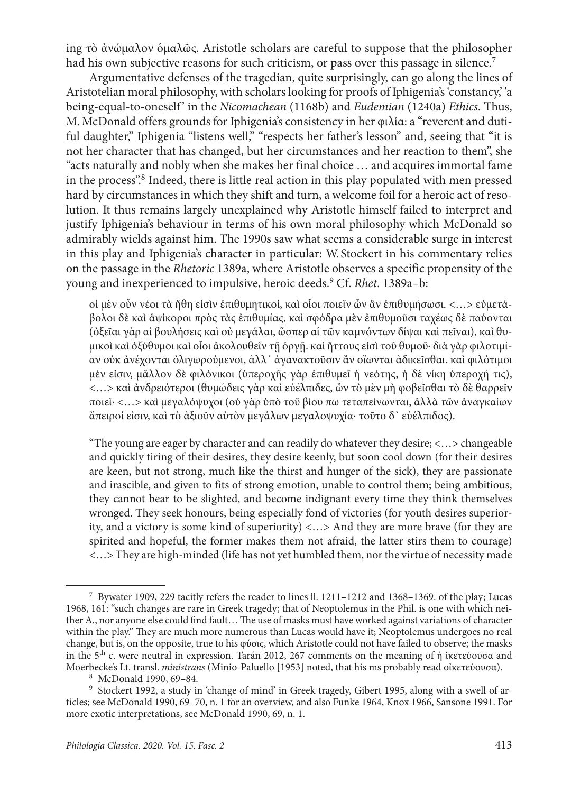ing τὸ ἀνώμαλον ὁμαλῶς. Aristotle scholars are careful to suppose that the philosopher had his own subjective reasons for such criticism, or pass over this passage in silence.<sup>7</sup>

Argumentative defenses of the tragedian, quite surprisingly, can go along the lines of Aristotelian moral philosophy, with scholars looking for proofs of Iphigenia's 'constancy,' 'a being-equal-to-oneself ' in the *Nicomachean* (1168b) and *Eudemian* (1240a) *Ethics*. Thus, M.McDonald offers grounds for Iphigenia's consistency in her φιλία: a "reverent and dutiful daughter," Iphigenia "listens well," "respects her father's lesson" and, seeing that "it is not her character that has changed, but her circumstances and her reaction to them", she "acts naturally and nobly when she makes her final choice … and acquires immortal fame in the process".<sup>8</sup> Indeed, there is little real action in this play populated with men pressed hard by circumstances in which they shift and turn, a welcome foil for a heroic act of resolution. It thus remains largely unexplained why Aristotle himself failed to interpret and justify Iphigenia's behaviour in terms of his own moral philosophy which McDonald so admirably wields against him. The 1990s saw what seems a considerable surge in interest in this play and Iphigenia's character in particular: W. Stockert in his commentary relies on the passage in the *Rhetoric* 1389a, where Aristotle observes a specific propensity of the young and inexperienced to impulsive, heroic deeds.9 Cf. *Rhet*. 1389a–b:

οἱ μὲν οὖν νέοι τὰ ἤθη εἰσὶν ἐπιθυμητικοί, καὶ οἷοι ποιεῖν ὧν ἂν ἐπιθυμήσωσι. <…> εὐμετάβολοι δὲ καὶ ἁψίκοροι πρὸς τὰς ἐπιθυμίας, καὶ σφόδρα μὲν ἐπιθυμοῦσι ταχέως δὲ παύονται (ὀξεῖαι γὰρ αἱ βουλήσεις καὶ οὐ μεγάλαι, ὥσπερ αἱ τῶν καμνόντων δίψαι καὶ πεῖναι), καὶ θυμικοὶ καὶ ὀξύθυμοι καὶ οἷοι ἀκολουθεῖν τῇ ὀργῇ. καὶ ἥττους εἰσὶ τοῦ θυμοῦ· διὰ γὰρ φιλοτιμίαν οὐκ ἀνέχονται ὀλιγωρούμενοι, ἀλλ᾽ ἀγανακτοῦσιν ἂν οἴωνται ἀδικεῖσθαι. καὶ φιλότιμοι μέν εἰσιν, μᾶλλον δὲ φιλόνικοι (ὑπεροχῆς γὰρ ἐπιθυμεῖ ἡ νεότης, ἡ δὲ νίκη ὑπεροχή τις), <…> καὶ ἀνδρειότεροι (θυμώδεις γὰρ καὶ εὐέλπιδες, ὧν τὸ μὲν μὴ φοβεῖσθαι τὸ δὲ θαρρεῖν ποιεῖ· <…> καὶ μεγαλόψυχοι (οὐ γὰρ ὑπὸ τοῦ βίου πω τεταπείνωνται, ἀλλὰ τῶν ἀναγκαίων ἄπειροί εἰσιν, καὶ τὸ ἀξιοῦν αὑτὸν μεγάλων μεγαλοψυχία· τοῦτο δ᾽ εὐέλπιδος).

"The young are eager by character and can readily do whatever they desire; <…> changeable and quickly tiring of their desires, they desire keenly, but soon cool down (for their desires are keen, but not strong, much like the thirst and hunger of the sick), they are passionate and irascible, and given to fits of strong emotion, unable to control them; being ambitious, they cannot bear to be slighted, and become indignant every time they think themselves wronged. They seek honours, being especially fond of victories (for youth desires superiority, and a victory is some kind of superiority) <…> And they are more brave (for they are spirited and hopeful, the former makes them not afraid, the latter stirs them to courage) <…> They are high-minded (life has not yet humbled them, nor the virtue of necessity made

<sup>7</sup> Bywater 1909, 229 tacitly refers the reader to lines ll. 1211–1212 and 1368–1369. of the play; Lucas 1968, 161: "such changes are rare in Greek tragedy; that of Neoptolemus in the Phil. is one with which neither A., nor anyone else could find fault… The use of masks must have worked against variations of character within the play." They are much more numerous than Lucas would have it; Neoptolemus undergoes no real change, but is, on the opposite, true to his φύσις, which Aristotle could not have failed to observe; the masks in the 5th c. were neutral in expression. Tarán 2012, 267 comments on the meaning of ἡ ἱκετεύουσα and Moerbecke's Lt. transl. *ministrans* (Minio-Paluello [1953] noted, that his ms probably read οἰκετεύουσα).

<sup>8</sup> McDonald 1990, 69–84.

<sup>9</sup> Stockert 1992, a study in 'change of mind' in Greek tragedy, Gibert 1995, along with a swell of articles; see McDonald 1990, 69–70, n. 1 for an overview, and also Funke 1964, Knox 1966, Sansone 1991. For more exotic interpretations, see McDonald 1990, 69, n. 1.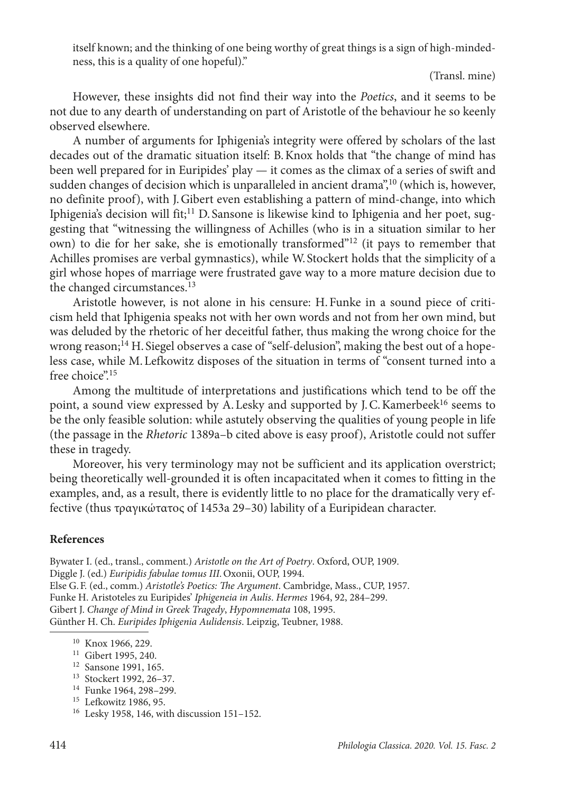itself known; and the thinking of one being worthy of great things is a sign of high-mindedness, this is a quality of one hopeful)."

(Transl. mine)

However, these insights did not find their way into the *Poetics*, and it seems to be not due to any dearth of understanding on part of Aristotle of the behaviour he so keenly observed elsewhere.

A number of arguments for Iphigenia's integrity were offered by scholars of the last decades out of the dramatic situation itself: B.Knox holds that "the change of mind has been well prepared for in Euripides' play — it comes as the climax of a series of swift and sudden changes of decision which is unparalleled in ancient drama",<sup>10</sup> (which is, however, no definite proof), with J.Gibert even establishing a pattern of mind-change, into which Iphigenia's decision will fit;<sup>11</sup> D. Sansone is likewise kind to Iphigenia and her poet, suggesting that "witnessing the willingness of Achilles (who is in a situation similar to her own) to die for her sake, she is emotionally transformed"12 (it pays to remember that Achilles promises are verbal gymnastics), while W. Stockert holds that the simplicity of a girl whose hopes of marriage were frustrated gave way to a more mature decision due to the changed circumstances.<sup>13</sup>

Aristotle however, is not alone in his censure: H.Funke in a sound piece of criticism held that Iphigenia speaks not with her own words and not from her own mind, but was deluded by the rhetoric of her deceitful father, thus making the wrong choice for the wrong reason;<sup>14</sup> H. Siegel observes a case of "self-delusion", making the best out of a hopeless case, while M.Lefkowitz disposes of the situation in terms of "consent turned into a free choice".<sup>15</sup>

Among the multitude of interpretations and justifications which tend to be off the point, a sound view expressed by A. Lesky and supported by J. C. Kamerbeek<sup>16</sup> seems to be the only feasible solution: while astutely observing the qualities of young people in life (the passage in the *Rhetoric* 1389a–b cited above is easy proof), Aristotle could not suffer these in tragedy.

Moreover, his very terminology may not be sufficient and its application overstrict; being theoretically well-grounded it is often incapacitated when it comes to fitting in the examples, and, as a result, there is evidently little to no place for the dramatically very effective (thus τραγικώτατος of 1453a 29–30) lability of a Euripidean character.

## **References**

Bywater I. (ed., transl., comment.) *Aristotle on the Art of Poetry*. Oxford, OUP, 1909. Diggle J. (ed.) *Euripidis fabulae tomus III.*Oxonii, OUP, 1994. Else G.F. (ed., comm.) *Aristotle's Poetics: The Argument*. Cambridge, Mass., CUP, 1957. Funke H. Aristoteles zu Euripides' *Iphigeneia in Aulis*. *Hermes* 1964, 92, 284–299. Gibert J. *Change of Mind in Greek Tragedy*, *Hypomnemata* 108, 1995. Günther H. Ch. *Euripides Iphigenia Aulidensis*. Leipzig, Teubner, 1988.

<sup>10</sup> Knox 1966, 229.

<sup>&</sup>lt;sup>11</sup> Gibert 1995, 240.<br><sup>12</sup> Sansone 1991, 165.

<sup>&</sup>lt;sup>13</sup> Stockert 1992, 26–37.<br><sup>14</sup> Funke 1964, 298–299.

<sup>&</sup>lt;sup>15</sup> Lefkowitz 1986, 95.

<sup>16</sup> Lesky 1958, 146, with discussion 151–152.